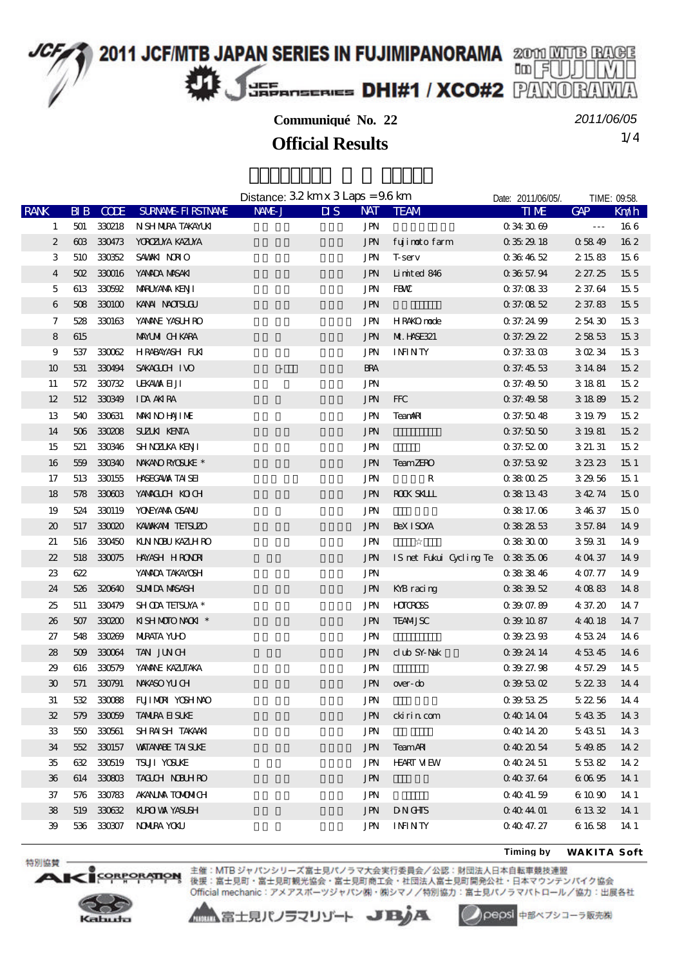2011 JCF/MTB JAPAN SERIES IN FUJIMIPANORAMA 2000 MATE RAGE 咖月 JEF EFANSERIES DHI#1 / XCO#2 PANO

## **Communiqué No. 22**

*2011/06/05*

1/4 **Official Results**

|                     |          |             |                           | Distance: $32 \text{ km} \times 3 \text{ Laps} = 96 \text{ km}$ |                                       |                                    | Date: 2011/06/05/.       | TIME: 09:58.         |                 |
|---------------------|----------|-------------|---------------------------|-----------------------------------------------------------------|---------------------------------------|------------------------------------|--------------------------|----------------------|-----------------|
| <b>RANK</b>         | BIB      | <b>CODE</b> | <b>SURVANE FIRSTIVANE</b> | NAME J                                                          | <b>NAT</b><br>$\overline{\mathbf{M}}$ | <b>TEAM</b>                        | <b>TIME</b>              | <b>GAP</b>           | Km/h            |
| 1                   | 501      | 330218      | N SH NIRA TAKAYUKI        |                                                                 | <b>JPN</b>                            |                                    | 0343069                  | $\sim$ $\sim$ $\sim$ | 166             |
| $\boldsymbol{2}$    | $\alpha$ | 330473      | <b>YOROZUYA KAZUYA</b>    |                                                                 | $\operatorname{JPN}$                  | fujimoto farm                      | 0352918                  | 05849                | 162             |
| 3                   | 510      | 330352      | SAWAKI NORIO              |                                                                 | <b>JPN</b>                            | <b>T</b> -serv                     | 0364652                  | 2 15 83              | 156             |
| 4                   | 502      | 330016      | YANADA MASAKI             |                                                                 | <b>JPN</b>                            | Limited 846                        | 0385794                  | 2 27.25              | 15 <sub>5</sub> |
| 5                   | 613      | 330592      | MARUYANA KENJI            |                                                                 | <b>JPN</b>                            | FBW                                | 037.0833                 | 2 37.64              | 15 <sub>5</sub> |
| 6                   | 508      | 330100      | KANAI NACISLOJ            |                                                                 | <b>JPN</b>                            |                                    | 0.370852                 | 2 37.83              | 15 <sub>5</sub> |
| 7                   | 528      | 330163      | YANANE YASUH RO           |                                                                 | <b>JPN</b>                            | HR4KO node                         | 0 37 24 99               | 25430                | 153             |
| ${\bf 8}$           | 615      |             | <b>MAYUMI CHKARA</b>      |                                                                 | <b>JPN</b>                            | <b>M. HSE321</b>                   | 0.37:29.22               | 25853                | 153             |
| 9                   | 537      |             | 330062 HRABAYASH FUKI     |                                                                 | <b>JPN</b>                            | <b>ININTY</b>                      | 0.373303                 | 30234                | 153             |
| 10                  | 531      | 330494      | SAKACUCH IVO              |                                                                 | <b>BRA</b>                            |                                    | 0.37:45.53               | 3 14 84              | 152             |
| 11                  | 572      | 330732      | <b>LEKAMA EL JI</b>       |                                                                 | <b>JPN</b>                            |                                    | 0.37:49.50               | 3 18 81              | 15 <sub>2</sub> |
| 12                  |          | 512 330349  | IDA AKIRA                 |                                                                 | $\operatorname{JPN}$                  | <b>FFC</b>                         | 0.37:49.58               | 3 18 89              | 152             |
| 13                  | 540      | 330631      | <b>MAKINO HAJIME</b>      |                                                                 | <b>JPN</b>                            | <b>TeanARI</b>                     | 0.37:50.48               | 3 19 79              | 15 <sub>2</sub> |
| 14                  | 506      | 330208      | <b>SUZUK KENTA</b>        |                                                                 | $\operatorname{JPN}$                  |                                    | $0.37\mskip-5mu.5\,0.50$ | 3 19 81              | 152             |
| 15                  | 521      | 330346      | <b>SHNZUKA KENII</b>      |                                                                 | $\mbox{JPN}$                          |                                    | 0.375200                 | 3 21 31              | 15 <sub>2</sub> |
| 16                  | 559      | 330340      | NWANORYOSUKE *            |                                                                 | <b>JPN</b>                            | <b>TeamZERO</b>                    | 0.37:53.92               | 32323                | 151             |
| 17                  | 513      | 330155      | <b>HASECAWA TAI SEI</b>   |                                                                 | <b>JPN</b>                            | $\mathbf R$                        | 0380025                  | 32956                | 15 <sub>1</sub> |
| 18                  | 578      | 330603      | YANACUH KOCH              |                                                                 | <b>JPN</b>                            | <b>ROCK SKLLL</b>                  | 0381343                  | 34274                | 150             |
| 19                  | 524      | 330119      | YOVEYANA CSANU            |                                                                 | <b>JPN</b>                            |                                    | 0 38 17 06               | 34637                | 150             |
| 20                  | 517      | 330020      | KAWAKANI TEISUZO          |                                                                 | <b>JPN</b>                            | <b>BeXISOYA</b>                    | 0382853                  | 3 57.84              | 149             |
| 21                  | 516      | 330450      | KIN NOBU KAZIH RO         |                                                                 | <b>JPN</b>                            |                                    | $0383000$                | 35931                | 149             |
| 22                  | 518      |             | 330075 HAYASH HRONDRI     |                                                                 | <b>JPN</b>                            | IS net Fukui Cycling Te 0 38 35 06 |                          | 4 04 37              | 149             |
| 23                  | 622      |             | YANADA TAKAYOSH           |                                                                 | JPN                                   |                                    | 0383846                  | 4 07.77              | 149             |
| 24                  | 526      | 320640      | <b>SUMIDA MASASH</b>      |                                                                 | <b>JPN</b>                            | KYB racing                         | 0383952                  | 40883                | 148             |
| 25                  | 511      | 330479      | SHODA TEISUYA *           |                                                                 | <b>JPN</b>                            | <b>HOTOROSS</b>                    | 0.3907.89                | 4 37.20              | 147             |
| 26                  | $507$    | 330200      | KISHMOTONAOKI *           |                                                                 | <b>JPN</b>                            | <b>TEAMJSC</b>                     | 0 39 10 87               | 4 4 0 18             | 147             |
| 27                  | 548      | 330269      | <b>MIRATA YLHO</b>        |                                                                 | <b>JPN</b>                            |                                    | 0392393                  | 45324                | 146             |
| 28                  | 509      | 330064      | TAN JUNCH                 |                                                                 | <b>JPN</b>                            | club SY-Nak                        | 0392414                  | 4 53 45              | 14 6            |
| 29                  | 616      | 330579      | YANANE KAZUTAKA           |                                                                 | <b>JPN</b>                            |                                    | 03927.98                 | 4 57.29              | 14 5            |
| $\pmb{\mathcal{X}}$ | 571      | 330791      | NWASO YU CH               |                                                                 | <b>JPN</b>                            | over-do                            | 0395302                  | 52233                | 144             |
| 31                  | 532      |             | 330088 FUJIMORI YOSHINAO  |                                                                 | <b>JPN</b>                            |                                    | 0395325                  | 52256                | 144             |
| 32                  |          | 579 330059  | <b>TANIRA EI SUKE</b>     |                                                                 | JPN                                   | ckirin com                         | 0401404                  | 54335                | 14 3            |
| 33                  |          | 550 330561  | SHRAISH TAKAAKI           |                                                                 | <b>JPN</b>                            |                                    | 0401420                  | 54351                | 14 3            |
| 34                  | 552      | 330157      | <b>WITANAE TAI SUKE</b>   |                                                                 | JPN                                   | <b>TeamARI</b>                     | 0402054                  | 54985                | 14 2            |
| 35                  | 632      | 330519      | TSUJI YOSUKE              |                                                                 | JPN                                   | <b>HEART MEW</b>                   | 0 40 24 51               | 55382                | 14 2            |
| 36                  |          | 614 330803  | <b>TACLOH NOBLHRO</b>     |                                                                 | <b>JPN</b>                            |                                    | $0\,40\,37.64$           | 60695                | 14 1            |
| 37                  |          | 576 330783  | <b>AKANJA TOMMICH</b>     |                                                                 | JPN                                   |                                    | 04041.59                 | 6 10 90              | 14 1            |
| 38                  |          | 519 330632  | KURO VA YASUSH            |                                                                 | <b>JPN</b>                            | <b>DNGHS</b>                       | 0404401                  | 6 13 32              | 14 1            |
| 39                  |          | 536 330307  | <b>NOWIRA YOKU</b>        |                                                                 | JPN                                   | <b>ININTY</b>                      | 0 40 47.27               | 6 16 58              | 14 1            |

**Timing by** *WAKITA Soft*



ORPORATION

特別協賛

 $\blacksquare$ 

主催: MTB ジャパンシリーズ富士見パノラマ大会実行委員会/公認:財団法人日本自転車競技連盟 後援:富士見町・富士見町観光協会・富士見町商工会・社団法人富士見町開発公社・日本マウンテンパイク協会 Official mechanic: アメアスポーツジャパン(株)· (株)シマノ/特別協力:富士見パノラマパトロール/協力:出展各社

▲■富士見パノラマリゾート JBJA



pepsi 中部ペプシコーラ販売株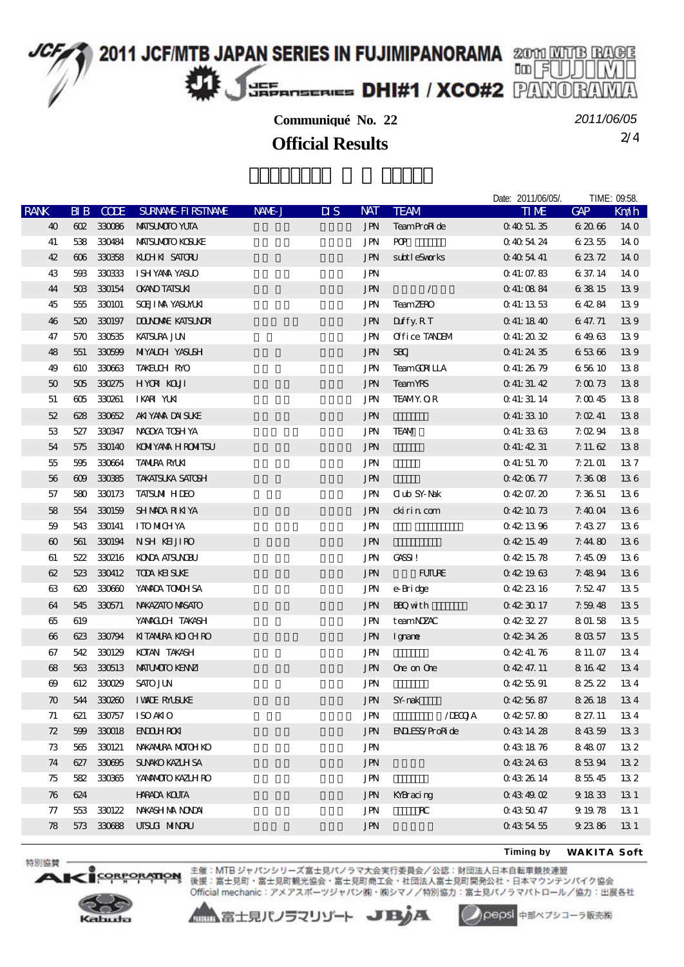

## **Communiqué No. 22**

2/4 **Official Results** *2011/06/05*

|                       |     |             |                          |        |                                   |            |                       | Date: 2011/06/05/. | TIME: 09:58.  |            |
|-----------------------|-----|-------------|--------------------------|--------|-----------------------------------|------------|-----------------------|--------------------|---------------|------------|
| <b>RANK</b>           | BIB | <b>CODE</b> | <b>SURNAL FI RSTNAME</b> | NAME J | $\overline{\mathbf{u}}\mathbf{s}$ | <b>NAT</b> | <b>TEAM</b>           | <b>TIME</b>        | $C\!\!A\!\!P$ | Km/h       |
| 40                    |     | 602 330086  | <b>MAISUMOIO YUIA</b>    |        |                                   | <b>JPN</b> | TeamProRide           | 0405135            | 62066         | 140        |
| 41                    | 538 | 330484      | <b>MAISUMOIO KOSUKE</b>  |        |                                   | <b>JPN</b> | PQ                    | 0405424            | 62355         | 140        |
| 42                    | 606 | 330358      | KILHKI SATORU            |        |                                   | <b>JPN</b> | subtleSvorks          | 0 40 54 41         | 62372         | <b>140</b> |
| 43                    | 593 | 330333      | ISHYANA YASUO            |        |                                   | <b>JPN</b> |                       | 0.41:07.83         | 6 37.14       | 140        |
| 44                    | 503 | 330154      | <b>CKANO TATSUKI</b>     |        |                                   | <b>JPN</b> | $\sqrt{2}$            | 0 41:08 84         | 63815         | 139        |
| 45                    | 555 | 330101      | <b>SCEJI MA YASUMJA</b>  |        |                                   | JPN        | <b>TeamZERO</b>       | 0 41:13 53         | 64284         | 139        |
| 46                    | 520 | 330197      | <b>DONOARE KATSUNOR</b>  |        |                                   | <b>JPN</b> | Duffy.RT              | 0 41:18 40         | 6 47.71       | 139        |
| 47                    | 570 | 330535      | <b>KATSURA JUN</b>       |        |                                   | <b>JPN</b> | Office TANEM          | 041:2032           | 64963         | 139        |
| 48                    | 551 | 330599      | <b>MIYALCH YASUSH</b>    |        |                                   | <b>JPN</b> | <b>SBCJ</b>           | 0 41:24 35         | 65366         | 139        |
| 49                    | 610 | 330663      | TAKELCH RYO              |        |                                   | <b>JPN</b> | <b>TeamGCN LLA</b>    | 041:2679           | 65610         | 138        |
| 50                    | 505 | 330275      | <b>HYOR KOUT</b>         |        |                                   | <b>JPN</b> | <b>TeamYRS</b>        | 041:31.42          | 7.0073        | 138        |
| 51                    | ങ്  | 330261      | IKARI YUKI               |        |                                   | <b>JPN</b> | <b>TEAMY OR</b>       | Q 41: 31. 14       | 7.0045        | 138        |
| 52                    | 628 | 330652      | AKIYANA DAISUKE          |        |                                   | <b>JPN</b> |                       | 041:3310           | 7.0241        | 138        |
| 53                    | 527 | 330347      | NACOYA TOSH YA           |        |                                   | JPN        | <b>TEAM</b>           | 041:3363           | 7.0294        | 138        |
| 54                    | 575 | 330140      | <b>KONIYANA HRONITSU</b> |        |                                   | <b>JPN</b> |                       | 041:4231           | $7.11 \& 62$  | 138        |
| 55                    | 595 | 330664      | <b>TANIRA RMKI</b>       |        |                                   | JPN        |                       | 0.41:51.70         | 7.21.01       | 137        |
| 56                    | 609 | 330385      | <b>TAKATSUKA SATOSH</b>  |        |                                   | <b>JPN</b> |                       | 0420677            | 7.3608        | 136        |
| 57                    | 580 | 330173      | <b>TAISUM HIEO</b>       |        |                                   | JPN        | <b>Club SY-Nak</b>    | 04207.20           | 7.3651        | 136        |
| 58                    | 554 | 330159      | <b>SHMADA RIKIYA</b>     |        |                                   | <b>JPN</b> | cki ri n com          | 0421073            | 7.4004        | 136        |
| 59                    | 543 | 330141      | <b>ITOMCHYA</b>          |        |                                   | <b>JPN</b> |                       | 0421396            | 7.4327        | 136        |
| $\boldsymbol{\omega}$ | 561 | 330194      | NSH KHJIRO               |        |                                   | <b>JPN</b> |                       | 0421549            | 7.4480        | 136        |
| 61                    | 522 | 330216      | <b>KOOA AISUNDU</b>      |        |                                   | <b>JPN</b> | CASSI!                | 0421578            | 7.4509        | 136        |
| 62                    | 523 | 330412      | <b>TODA KEI SUKE</b>     |        |                                   | <b>JPN</b> | <b>FUTURE</b>         | 0421963            | 7.4894        | 136        |
| 63                    | 620 | 330600      | YANADA TONOH SA          |        |                                   | JPN        | e-Bridge              | 0422316            | 7.52.47       | 135        |
| 64                    | 545 | 330571      | NWAZATO MASATO           |        |                                   | <b>JPN</b> | <b>BQ</b> with        | 0423017            | 7.5948        | 135        |
| 65                    | 619 |             | YAMACUH TAKASH           |        |                                   | JPN        | teamNZAC              | 0423227            | 801.58        | 135        |
| $\boldsymbol{\omega}$ | 623 |             | 330794 KITANIRA KOLHIRO  |        |                                   | <b>JPN</b> | Igname                | 0423426            | 8 03 57       | 135        |
| 67                    | 542 | 330129      | KOTAN TAKASH             |        |                                   | JPN        |                       | 04241.76           | 8 11 07       | 134        |
| 68                    | 563 | 330513      | <b>MATUMOTO KENYZI</b>   |        |                                   | <b>JPN</b> | Ore on Ore            | 04247.11           | 8 16 42       | 134        |
| $\boldsymbol{\omega}$ | 612 | 330029      | <b>SATO JUN</b>          |        |                                   | <b>JPN</b> |                       | 0425591            | 82522         | 134        |
| $\boldsymbol{\pi}$    |     | 544 330260  | <b>I WILE RAUSLIKE</b>   |        |                                   | <b>JPN</b> | SY nak                | 0425687            | 8 26 18       | 134        |
| 71                    | 621 | 330757      | <b>ISOAKIO</b>           |        |                                   | <b>JPN</b> | /IECOJA               | 04257.80           | 8 27.11       | 134        |
| 72                    | 599 | 330018      | <b>ENOLHRON</b>          |        |                                   | <b>JPN</b> | <b>ENLESS/ProRide</b> | 0431428            | 84359         | 133        |
| 73                    | 565 | 330121      | NAKANIRA MOTOH KO        |        |                                   | <b>JPN</b> |                       | 0431876            | 84807         | 132        |
| 74                    | 627 | 330695      | <b>SUNKO KAZUH SA</b>    |        |                                   | <b>JPN</b> |                       | 0432463            | 85394         | 132        |
| 75                    | 582 | 330365      | YANANOTO KAZLH RO        |        |                                   | JPN        |                       | 0432614            | 85545         | 132        |
| 76                    | 624 |             | <b>HRADA KOJTA</b>       |        |                                   | <b>JPN</b> | KYBracing             | 0434902            | 9 18 33       | 131        |
| 77                    | 553 | 330122      | NWASH MA NONDAI          |        |                                   | <b>JPN</b> | ${\bf R}$             | 0435047            | 9 19 78       | 13 1       |
| 78                    |     | 573 330688  | UISLA MINORU             |        |                                   | <b>JPN</b> |                       | 0435455            | 92386         | 131        |
|                       |     |             |                          |        |                                   |            |                       |                    |               |            |

**Timing by** *WAKITA Soft*



ORPORATION

特別協賛

 $\mathbf{A}$ 

主催: MTB ジャパンシリーズ富士見パノラマ大会実行委員会/公認:財団法人日本自転車競技連盟 後援:富士見町・富士見町観光協会・富士見町商工会・社団法人富士見町開発公社・日本マウンテンパイク協会 Official mechanic: アメアスポーツジャパン㈱・㈱シマノ/特別協力:富士見パノラマパトロール/協力:出展各社

▲▲富士見パノラマリゾート JBJA

pepsi 中部ペプシコーラ販売株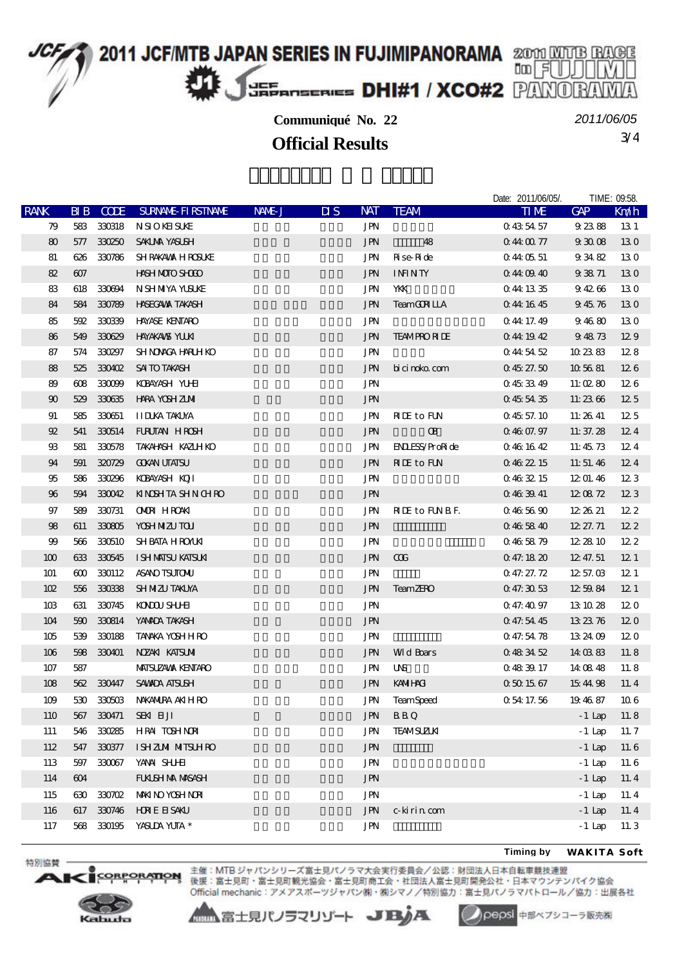

**Communiqué No. 22**

3/4 **Official Results** *2011/06/05*

|                       |                               |             |                            |        |                                   |                          |                       | Date: 2011/06/05/. | TIME: 09:58. |                 |
|-----------------------|-------------------------------|-------------|----------------------------|--------|-----------------------------------|--------------------------|-----------------------|--------------------|--------------|-----------------|
| <b>RANK</b>           | $\overline{B}$ $\overline{B}$ | <b>CODE</b> | <b>SURVANE FI RSTIVANE</b> | NAME J | $\overline{\mathbf{u}}\mathbf{s}$ | <b>NAT</b>               | <b>TEAM</b>           | <b>TIME</b>        | <b>GAP</b>   | Kndh            |
| 79                    | 583                           | 330318      | <b>NSIOKHSUKE</b>          |        |                                   | JPN                      |                       | 0435457            | 92388        | 13 1            |
| 80                    | 577                           | 330250      | <b>SAKLMA YASUSH</b>       |        |                                   | <b>JPN</b>               | 48                    | 0440077            | 93008        | 130             |
| 81                    | 626                           | 330786      | <b>SHRAKAVAX HROSUKE</b>   |        |                                   | JPN                      | Rise Ride             | 044 05 51          | 93482        | 130             |
| 82                    | 607                           |             | HASH MOTO SHOOD            |        |                                   | <b>JPN</b>               | <b>ININTY</b>         | $0.44 \times 40$   | 93871        | 130             |
| 83                    | 618                           | 330694      | N SHMYA YUSUKE             |        |                                   | JPN                      | YКК                   | 044 13 35          | 94266        | 130             |
| 84                    | 584                           | 330789      | <b>HASECAVAX TAKASH</b>    |        |                                   | <b>JPN</b>               | <b>TeamGCN LLA</b>    | 044 1645           | 94576        | 130             |
| 85                    | 592                           | 330339      | <b>HAYASE KENTARO</b>      |        |                                   | JPN                      |                       | 0 44 17 49         | 94680        | 130             |
| 86                    | 549                           | 330629      | <b>HAYAKANS YUKI</b>       |        |                                   | <b>JPN</b>               | <b>TEAMPRORIE</b>     | 0441942            | 94873        | 129             |
| 87                    | 574                           | 330297      | <b>SHNOACA HARLH KO</b>    |        |                                   | JPN                      |                       | 0445452            | 102383       | 128             |
| 88                    | 525                           | 330402      | SAI TO TAKASH              |        |                                   | <b>JPN</b>               | bi ci noko com        | $0\,45\,27.50$     | 105681       | 126             |
| 89                    | $\boldsymbol{\alpha}$         | 330099      | KOBAYASH YUHU              |        |                                   | JPN                      |                       | 0453349            | 11:0280      | 126             |
| $\boldsymbol{\omega}$ | 529                           | 330635      | <b>HARA YOSH ZIMI</b>      |        |                                   | <b>JPN</b>               |                       | 0455435            | 11:2366      | 125             |
| 91                    | 585                           | 330651      | <b>II DUKA TAKUYA</b>      |        |                                   | <b>JPN</b>               | <b>RIE</b> to FUN     | 0.4557.10          | 11:26 41     | 125             |
| 92                    | 541                           |             | 330514 FURUTAN HROSH       |        |                                   | $\operatorname{J\!P\!N}$ | <b>B</b>              | 0.4607.97          | 11: 37. $28$ | 124             |
| $\mathfrak{B}$        | 581                           | 330578      | TAKAHNSH KAZUH KO          |        |                                   | JPN                      | <b>ENLESS/ProRide</b> | 0461642            | 11:45 73     | 124             |
| 94                    | 591                           | 320729      | <b>COKAN UTATSU</b>        |        |                                   | <b>JPN</b>               | <b>RIE</b> to FUN     | 0.462215           | 11:51.46     | 124             |
| 95                    | 586                           | 330296      | KOBAYASH KOJI              |        |                                   | JPN                      |                       | 0463215            | 12 01.46     | 123             |
| 96                    | 594                           | 330042      | <b>KINSHTA SHN CHRO</b>    |        |                                   | <b>JPN</b>               |                       | 0.463941           | 120872       | 123             |
| 97                    | 589                           | 330731      | <b>OMDR</b> HROAKI         |        |                                   | JPN                      | <b>NIE</b> to FUNBE.  | 0465690            | 12 26 21     | 122             |
| 98                    | 611                           | 330805      | YOSH NIZU TOU              |        |                                   | $\operatorname{J\!P\!N}$ |                       | 0.465840           | 12 27.71     | 122             |
| 99                    | 566                           | 330510      | SHBATA HROAKI              |        |                                   | <b>JPN</b>               |                       | 0.465879           | 12 28 10     | 122             |
| 100                   | 633                           | 330545      | I SH MAISU KAISUAI         |        |                                   | <b>JPN</b>               | $\alpha$              | 047.1820           | 12, 47, 51   | 12 <sub>1</sub> |
| 101                   | 600                           | 330112      | <b>ASANO TSUTOMU</b>       |        |                                   | <b>JPN</b>               |                       | 0.47:27.72         | 12,57,03     | 12 <sub>1</sub> |
| 102                   | 556                           | 330338      | <b>SH MIZU TAKLYA</b>      |        |                                   | <b>JPN</b>               | <b>TeamZERO</b>       | 047.3053           | 1259.84      | 12 <sub>1</sub> |
| 10B                   | 631                           | 330745      | KONOU SHIHI                |        |                                   | JPN                      |                       | 0.47:40.97         | 13 10 28     | 120             |
| 104                   | 590                           | 330814      | YANADA TAKASH              |        |                                   | $\operatorname{J\!P\!N}$ |                       | 0 47.54 45         | 13 23 76     | 120             |
| 105                   | 539                           | 330188      | <b>TANKA YOSHHRO</b>       |        |                                   | JPN                      |                       | 047.5478           | 13 24 09     | 120             |
| 106                   | 598                           | 330401      | NZAKI KATSUMI              |        |                                   | <b>JPN</b>               | <b>Md</b> Boars       | 0483452            | 14 03 83     | 11.8            |
| 107                   | 587                           |             | <b>MAISUZAMA KENTARO</b>   |        |                                   | JPN                      | UNS                   | 0483917            | 14 08 48     | 11.8            |
| 108                   | 562                           | 330447      | <b>SAVADA ATSUSH</b>       |        |                                   | <b>JPN</b>               | <b>KAMIHACI</b>       | 0501567            | 154498       | 11.4            |
| 109                   |                               | 530 330503  | NAKANIRA AKIHRO            |        |                                   | JPN                      | <b>TeamSpeed</b>      | 0 54 17 56         | 194687       | 106             |
| 110                   |                               | 567 330471  | SEKI ELJI                  |        |                                   | <b>JPN</b>               | <b>BBQ</b>            |                    | $-1$ Lap     | 11.8            |
| 111                   |                               | 546 330285  | HRAI TOSHNORI              |        |                                   | <b>JPN</b>               | <b>TEAMSUZIKI</b>     |                    | $-1$ Lap     | 11.7            |
| 112                   |                               | 547 330377  | I SHZIMI MITSUHRO          |        |                                   | <b>JPN</b>               |                       |                    | $-1$ Lap     | 11.6            |
| 113                   | 597                           | 330067      | YANA SHJHI                 |        |                                   | JPN                      |                       |                    | $-1$ Lap     | 11.6            |
| 114                   | 604                           |             | <b>FUKISH NA MASASH</b>    |        |                                   | <b>JPN</b>               |                       |                    | $-1$ Lap     | 11.4            |
| 115                   |                               | 630 330702  | <b>MAKINO YOSH NORI</b>    |        |                                   | <b>JPN</b>               |                       |                    | $-1$ Lap     | 11.4            |
| 116                   |                               | 617 330746  | <b>HDREESAKU</b>           |        |                                   | $\operatorname{J\!P\!N}$ | c-kirin com           |                    | $-1$ Lap     | 11.4            |
| 117                   |                               | 568 330195  | YASUDA YUTA *              |        |                                   | JPN                      |                       |                    | $-1$ Lap     | 11.3            |
|                       |                               |             |                            |        |                                   |                          |                       |                    |              |                 |

**Timing by** *WAKITA Soft*



**ORPORATION** 

特別協賛

 $\triangle$ 

主催: MTB ジャパンシリーズ富士見パノラマ大会実行委員会/公認:財団法人日本自転車競技連盟 後援:富士見町・富士見町観光協会・富士見町商工会・社団法人富士見町開発公社・日本マウンテンパイク協会 Official mechanic: アメアスポーツジャパン㈱・㈱シマノ/特別協力:富士見パノラマパトロール/協力:出展各社

▲▲富士見パノラマリゾート JBA

Oepsi 中部ペプシコーラ販売株